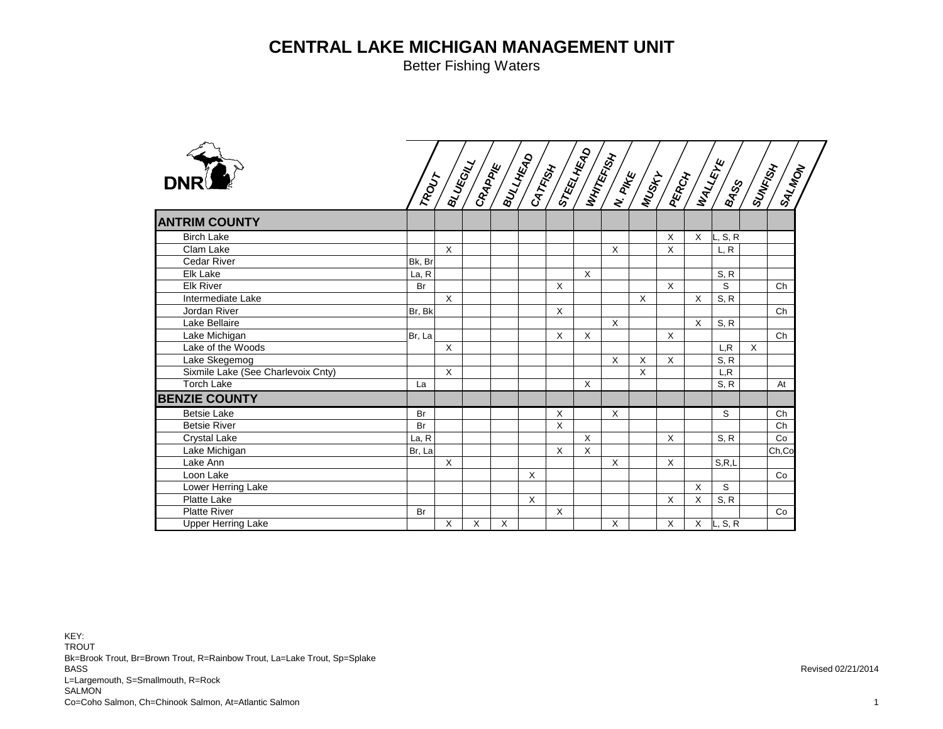Better Fishing Waters

| <b>DNR</b>                         |        |              |          |          |         |              |              |          |   |              |          | $\begin{pmatrix} 1 & 0 & 0 & 0 \\ 0 & 0 & 0 & 0 \\ 0 & 0 & 0 & 0 \\ 0 & 0 & 0 & 0 \end{pmatrix} \xrightarrow{\mathcal{L}} \begin{pmatrix} 0 & 0 & 0 \\ 0 & 0 & 0 \\ 0 & 0 & 0 \end{pmatrix} \xrightarrow{\mathcal{L}} \begin{pmatrix} 0 & 0 & 0 \\ 0 & 0 & 0 \\ 0 & 0 & 0 \end{pmatrix} \xrightarrow{\mathcal{L}} \begin{pmatrix} 0 & 0 & 0 \\ 0 & 0 & 0 \\ 0 & 0 & 0 \end{pmatrix} \xrightarrow{\mathcal{L}} \begin{pmatrix} 0 & 0$ |   | ISALADA |
|------------------------------------|--------|--------------|----------|----------|---------|--------------|--------------|----------|---|--------------|----------|--------------------------------------------------------------------------------------------------------------------------------------------------------------------------------------------------------------------------------------------------------------------------------------------------------------------------------------------------------------------------------------------------------------------------------------|---|---------|
| <b>ANTRIM COUNTY</b>               |        |              |          |          |         |              |              |          |   |              |          |                                                                                                                                                                                                                                                                                                                                                                                                                                      |   |         |
| <b>Birch Lake</b>                  |        |              |          |          |         |              |              |          |   | X            | $\times$ | L, S, R                                                                                                                                                                                                                                                                                                                                                                                                                              |   |         |
| Clam Lake                          |        | $\sf X$      |          |          |         |              |              | $\times$ |   | $\mathsf{X}$ |          | L, R                                                                                                                                                                                                                                                                                                                                                                                                                                 |   |         |
| <b>Cedar River</b>                 | Bk, Br |              |          |          |         |              |              |          |   |              |          |                                                                                                                                                                                                                                                                                                                                                                                                                                      |   |         |
| Elk Lake                           | La, R  |              |          |          |         |              | $\mathsf{x}$ |          |   |              |          | S, R                                                                                                                                                                                                                                                                                                                                                                                                                                 |   |         |
| <b>Elk River</b>                   | Br     |              |          |          |         | $\times$     |              |          |   | $\sf X$      |          | S                                                                                                                                                                                                                                                                                                                                                                                                                                    |   | Ch      |
| Intermediate Lake                  |        | X            |          |          |         |              |              |          | X |              | X        | S, R                                                                                                                                                                                                                                                                                                                                                                                                                                 |   |         |
| Jordan River                       | Br, Bk |              |          |          |         | X            |              |          |   |              |          |                                                                                                                                                                                                                                                                                                                                                                                                                                      |   | Ch      |
| Lake Bellaire                      |        |              |          |          |         |              |              | $\times$ |   |              | $\times$ | S, R                                                                                                                                                                                                                                                                                                                                                                                                                                 |   |         |
| Lake Michigan                      | Br, La |              |          |          |         | $\sf X$      | $\times$     |          |   | $\mathsf{X}$ |          |                                                                                                                                                                                                                                                                                                                                                                                                                                      |   | Ch      |
| Lake of the Woods                  |        | X            |          |          |         |              |              |          |   |              |          | L.R                                                                                                                                                                                                                                                                                                                                                                                                                                  | X |         |
| Lake Skegemog                      |        |              |          |          |         |              |              | $\times$ | X | X            |          | S, R                                                                                                                                                                                                                                                                                                                                                                                                                                 |   |         |
| Sixmile Lake (See Charlevoix Cnty) |        | $\mathsf{X}$ |          |          |         |              |              |          | X |              |          | L, R                                                                                                                                                                                                                                                                                                                                                                                                                                 |   |         |
| <b>Torch Lake</b>                  | La     |              |          |          |         |              | $\mathsf{x}$ |          |   |              |          | S, R                                                                                                                                                                                                                                                                                                                                                                                                                                 |   | At      |
| <b>BENZIE COUNTY</b>               |        |              |          |          |         |              |              |          |   |              |          |                                                                                                                                                                                                                                                                                                                                                                                                                                      |   |         |
| <b>Betsie Lake</b>                 | Br     |              |          |          |         | $\mathsf{X}$ |              | X        |   |              |          | S                                                                                                                                                                                                                                                                                                                                                                                                                                    |   | Ch      |
| <b>Betsie River</b>                | Br     |              |          |          |         | $\times$     |              |          |   |              |          |                                                                                                                                                                                                                                                                                                                                                                                                                                      |   | Ch      |
| <b>Crystal Lake</b>                | La, R  |              |          |          |         |              | $\sf X$      |          |   | X            |          | S, R                                                                                                                                                                                                                                                                                                                                                                                                                                 |   | Co      |
| Lake Michigan                      | Br, La |              |          |          |         | $\mathsf{X}$ | $\times$     |          |   |              |          |                                                                                                                                                                                                                                                                                                                                                                                                                                      |   | Ch,Co   |
| Lake Ann                           |        | X            |          |          |         |              |              | $\times$ |   | $\times$     |          | S, R, L                                                                                                                                                                                                                                                                                                                                                                                                                              |   |         |
| Loon Lake                          |        |              |          |          | X       |              |              |          |   |              |          |                                                                                                                                                                                                                                                                                                                                                                                                                                      |   | Co      |
| Lower Herring Lake                 |        |              |          |          |         |              |              |          |   |              | X        | S                                                                                                                                                                                                                                                                                                                                                                                                                                    |   |         |
| <b>Platte Lake</b>                 |        |              |          |          | $\sf X$ |              |              |          |   | X            | $\times$ | S, R                                                                                                                                                                                                                                                                                                                                                                                                                                 |   |         |
| <b>Platte River</b>                | Br     |              |          |          |         | X            |              |          |   |              |          |                                                                                                                                                                                                                                                                                                                                                                                                                                      |   | Co      |
| <b>Upper Herring Lake</b>          |        | $\sf X$      | $\times$ | $\times$ |         |              |              | X        |   | X            | X        | L, S, R                                                                                                                                                                                                                                                                                                                                                                                                                              |   |         |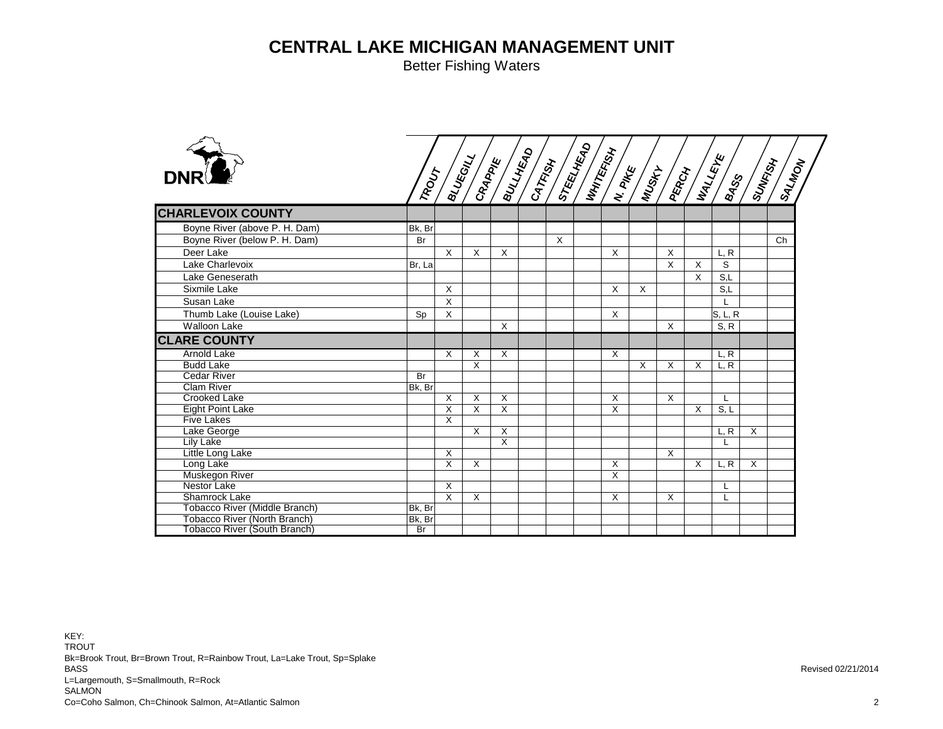|        |                              |                                                                         |                                          |                                                                 |          |              |                                              |          |                          |        |                                                       | <b>ISALMON</b>                                                                                                                                                                                                                                                                                                                                                                                                                        |
|--------|------------------------------|-------------------------------------------------------------------------|------------------------------------------|-----------------------------------------------------------------|----------|--------------|----------------------------------------------|----------|--------------------------|--------|-------------------------------------------------------|---------------------------------------------------------------------------------------------------------------------------------------------------------------------------------------------------------------------------------------------------------------------------------------------------------------------------------------------------------------------------------------------------------------------------------------|
|        |                              |                                                                         |                                          |                                                                 |          |              |                                              |          |                          |        |                                                       |                                                                                                                                                                                                                                                                                                                                                                                                                                       |
| Bk, Br |                              |                                                                         |                                          |                                                                 |          |              |                                              |          |                          |        |                                                       |                                                                                                                                                                                                                                                                                                                                                                                                                                       |
| Br     |                              |                                                                         |                                          |                                                                 | $\times$ |              |                                              |          |                          |        |                                                       | Ch                                                                                                                                                                                                                                                                                                                                                                                                                                    |
|        | $\times$                     | $\times$                                                                | $\times$                                 |                                                                 |          | $\mathsf{X}$ |                                              | X        |                          | L, R   |                                                       |                                                                                                                                                                                                                                                                                                                                                                                                                                       |
| Br, La |                              |                                                                         |                                          |                                                                 |          |              |                                              | $\times$ | $\mathsf{X}$             | S      |                                                       |                                                                                                                                                                                                                                                                                                                                                                                                                                       |
|        |                              |                                                                         |                                          |                                                                 |          |              |                                              |          | X                        | S,L    |                                                       |                                                                                                                                                                                                                                                                                                                                                                                                                                       |
|        | $\times$                     |                                                                         |                                          |                                                                 |          |              |                                              |          |                          |        |                                                       |                                                                                                                                                                                                                                                                                                                                                                                                                                       |
|        |                              |                                                                         |                                          |                                                                 |          |              |                                              |          |                          |        |                                                       |                                                                                                                                                                                                                                                                                                                                                                                                                                       |
|        |                              |                                                                         |                                          |                                                                 |          |              |                                              |          |                          |        |                                                       |                                                                                                                                                                                                                                                                                                                                                                                                                                       |
|        |                              |                                                                         |                                          |                                                                 |          |              |                                              |          |                          |        |                                                       |                                                                                                                                                                                                                                                                                                                                                                                                                                       |
|        |                              |                                                                         |                                          |                                                                 |          |              |                                              |          |                          |        |                                                       |                                                                                                                                                                                                                                                                                                                                                                                                                                       |
|        | X                            | X                                                                       | $\times$                                 |                                                                 |          | X            |                                              |          |                          |        |                                                       |                                                                                                                                                                                                                                                                                                                                                                                                                                       |
|        |                              | X                                                                       |                                          |                                                                 |          |              | $\overline{X}$                               | X        | X                        | L, R   |                                                       |                                                                                                                                                                                                                                                                                                                                                                                                                                       |
| Br     |                              |                                                                         |                                          |                                                                 |          |              |                                              |          |                          |        |                                                       |                                                                                                                                                                                                                                                                                                                                                                                                                                       |
| Bk, Br |                              |                                                                         |                                          |                                                                 |          |              |                                              |          |                          |        |                                                       |                                                                                                                                                                                                                                                                                                                                                                                                                                       |
|        | X                            | X                                                                       |                                          |                                                                 |          | X            |                                              | X        |                          |        |                                                       |                                                                                                                                                                                                                                                                                                                                                                                                                                       |
|        |                              |                                                                         |                                          |                                                                 |          |              |                                              |          |                          |        |                                                       |                                                                                                                                                                                                                                                                                                                                                                                                                                       |
|        |                              |                                                                         |                                          |                                                                 |          |              |                                              |          |                          |        |                                                       |                                                                                                                                                                                                                                                                                                                                                                                                                                       |
|        |                              |                                                                         |                                          |                                                                 |          |              |                                              |          |                          |        |                                                       |                                                                                                                                                                                                                                                                                                                                                                                                                                       |
|        |                              |                                                                         |                                          |                                                                 |          |              |                                              |          |                          |        |                                                       |                                                                                                                                                                                                                                                                                                                                                                                                                                       |
|        |                              |                                                                         |                                          |                                                                 |          |              |                                              |          |                          |        |                                                       |                                                                                                                                                                                                                                                                                                                                                                                                                                       |
|        |                              |                                                                         |                                          |                                                                 |          |              |                                              |          |                          |        |                                                       |                                                                                                                                                                                                                                                                                                                                                                                                                                       |
|        |                              |                                                                         |                                          |                                                                 |          |              |                                              |          |                          |        |                                                       |                                                                                                                                                                                                                                                                                                                                                                                                                                       |
|        |                              |                                                                         |                                          |                                                                 |          |              |                                              |          |                          |        |                                                       |                                                                                                                                                                                                                                                                                                                                                                                                                                       |
|        |                              |                                                                         |                                          |                                                                 |          |              |                                              |          |                          |        |                                                       |                                                                                                                                                                                                                                                                                                                                                                                                                                       |
|        |                              |                                                                         |                                          |                                                                 |          |              |                                              |          |                          |        |                                                       |                                                                                                                                                                                                                                                                                                                                                                                                                                       |
|        |                              |                                                                         |                                          |                                                                 |          |              |                                              |          |                          |        |                                                       |                                                                                                                                                                                                                                                                                                                                                                                                                                       |
|        | Sp<br>Bk, Br<br>Bk, Br<br>Br | X<br>X<br>X<br>X<br>X<br>X<br>$\overline{X}$<br>$\overline{\mathsf{x}}$ | X<br>X<br>X<br>$\boldsymbol{\mathsf{X}}$ | $\times$<br>$\times$<br>$\sf X$<br>$\overline{\mathsf{x}}$<br>X |          |              | X<br>$\mathsf{X}$<br>X<br>X<br>X<br>$\times$ | X        | $\sf X$<br>X<br>$\times$ | X<br>X | S,L<br>S, R<br>L, R<br>S, L<br>L, R<br>L, R<br>L<br>L | $\begin{pmatrix} 1 & 0 & 0 & 0 \\ 0 & 0 & 0 & 0 \\ 0 & 0 & 0 & 0 \\ 0 & 0 & 0 & 0 \end{pmatrix} \xrightarrow{\mathcal{L}} \begin{pmatrix} 0 & 0 & 0 & 0 \\ 0 & 0 & 0 & 0 \\ 0 & 0 & 0 & 0 \\ 0 & 0 & 0 & 0 \end{pmatrix} \xrightarrow{\mathcal{L}} \begin{pmatrix} 0 & 0 & 0 & 0 \\ 0 & 0 & 0 & 0 \\ 0 & 0 & 0 & 0 \\ 0 & 0 & 0 & 0 \end{pmatrix} \xrightarrow{\mathcal{L}} \begin{pmatrix} 0 & 0 & 0 & $<br>S, L, R<br>X<br>$\times$ |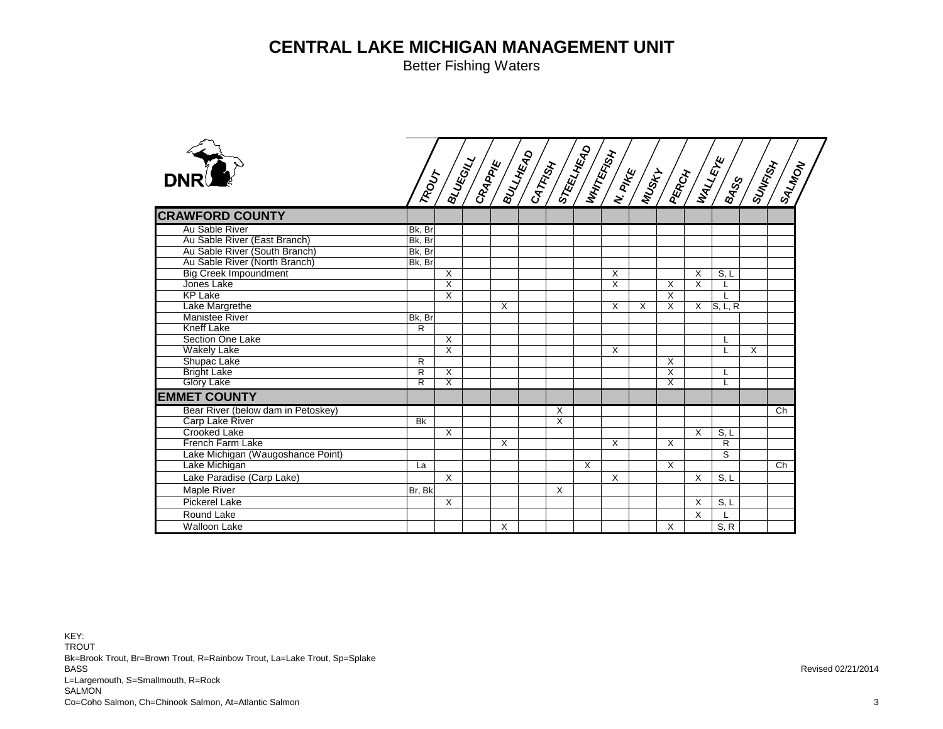Better Fishing Waters

| <b>DNR</b><br>Au Sable River<br>Bk, Br<br>Au Sable River (East Branch)<br>Bk, Br<br>Au Sable River (South Branch)<br>Bk, Br<br>Au Sable River (North Branch)<br>Bk, Br<br><b>Big Creek Impoundment</b><br>$\boldsymbol{\mathsf{X}}$<br>X<br>S, L<br>X<br>Jones Lake<br>$\overline{\mathsf{x}}$<br>X<br>X<br>X<br><b>KP Lake</b><br>$\overline{\mathsf{x}}$<br>X<br>Lake Margrethe<br>X<br>S, L, R<br>X<br>X<br>X<br>$\times$<br><b>Manistee River</b><br>Bk, Br<br><b>Kneff Lake</b><br>$\overline{R}$<br>Section One Lake<br>$\overline{\mathsf{x}}$<br>L<br>$\overline{\mathsf{x}}$<br><b>Wakely Lake</b><br>X<br>X<br>$\mathsf{L}$<br>Shupac Lake<br>X<br>$\mathsf{R}$<br>$\overline{\mathsf{x}}$<br><b>Bright Lake</b><br>$\mathsf{R}$<br>X<br>L<br>Glory Lake<br>$\overline{\mathsf{x}}$<br>$\overline{\mathsf{R}}$<br>$\overline{\mathsf{x}}$<br>Bear River (below dam in Petoskey)<br>X<br>Ch<br>X<br>Carp Lake River<br><b>Bk</b><br><b>Crooked Lake</b><br>$\times$<br>$\times$<br>S, L<br><b>French Farm Lake</b><br>$\mathsf{R}$<br>X<br>X<br>X<br>Lake Michigan (Waugoshance Point)<br>S<br>Lake Michigan<br>X<br>X<br>Ch<br>La<br>Lake Paradise (Carp Lake)<br>$\boldsymbol{\mathsf{X}}$<br>$\times$<br>X<br>S, L<br>Maple River<br>X<br>Br, Bk<br><b>Pickerel Lake</b><br>X<br>$\times$<br>S, L<br>Round Lake<br>$\times$ |                        |  |   |  |  |   |      |  |
|-----------------------------------------------------------------------------------------------------------------------------------------------------------------------------------------------------------------------------------------------------------------------------------------------------------------------------------------------------------------------------------------------------------------------------------------------------------------------------------------------------------------------------------------------------------------------------------------------------------------------------------------------------------------------------------------------------------------------------------------------------------------------------------------------------------------------------------------------------------------------------------------------------------------------------------------------------------------------------------------------------------------------------------------------------------------------------------------------------------------------------------------------------------------------------------------------------------------------------------------------------------------------------------------------------------------------------------------|------------------------|--|---|--|--|---|------|--|
|                                                                                                                                                                                                                                                                                                                                                                                                                                                                                                                                                                                                                                                                                                                                                                                                                                                                                                                                                                                                                                                                                                                                                                                                                                                                                                                                         |                        |  |   |  |  |   |      |  |
|                                                                                                                                                                                                                                                                                                                                                                                                                                                                                                                                                                                                                                                                                                                                                                                                                                                                                                                                                                                                                                                                                                                                                                                                                                                                                                                                         | <b>CRAWFORD COUNTY</b> |  |   |  |  |   |      |  |
|                                                                                                                                                                                                                                                                                                                                                                                                                                                                                                                                                                                                                                                                                                                                                                                                                                                                                                                                                                                                                                                                                                                                                                                                                                                                                                                                         |                        |  |   |  |  |   |      |  |
|                                                                                                                                                                                                                                                                                                                                                                                                                                                                                                                                                                                                                                                                                                                                                                                                                                                                                                                                                                                                                                                                                                                                                                                                                                                                                                                                         |                        |  |   |  |  |   |      |  |
|                                                                                                                                                                                                                                                                                                                                                                                                                                                                                                                                                                                                                                                                                                                                                                                                                                                                                                                                                                                                                                                                                                                                                                                                                                                                                                                                         |                        |  |   |  |  |   |      |  |
|                                                                                                                                                                                                                                                                                                                                                                                                                                                                                                                                                                                                                                                                                                                                                                                                                                                                                                                                                                                                                                                                                                                                                                                                                                                                                                                                         |                        |  |   |  |  |   |      |  |
|                                                                                                                                                                                                                                                                                                                                                                                                                                                                                                                                                                                                                                                                                                                                                                                                                                                                                                                                                                                                                                                                                                                                                                                                                                                                                                                                         |                        |  |   |  |  |   |      |  |
|                                                                                                                                                                                                                                                                                                                                                                                                                                                                                                                                                                                                                                                                                                                                                                                                                                                                                                                                                                                                                                                                                                                                                                                                                                                                                                                                         |                        |  |   |  |  |   |      |  |
|                                                                                                                                                                                                                                                                                                                                                                                                                                                                                                                                                                                                                                                                                                                                                                                                                                                                                                                                                                                                                                                                                                                                                                                                                                                                                                                                         |                        |  |   |  |  |   |      |  |
|                                                                                                                                                                                                                                                                                                                                                                                                                                                                                                                                                                                                                                                                                                                                                                                                                                                                                                                                                                                                                                                                                                                                                                                                                                                                                                                                         |                        |  |   |  |  |   |      |  |
|                                                                                                                                                                                                                                                                                                                                                                                                                                                                                                                                                                                                                                                                                                                                                                                                                                                                                                                                                                                                                                                                                                                                                                                                                                                                                                                                         |                        |  |   |  |  |   |      |  |
|                                                                                                                                                                                                                                                                                                                                                                                                                                                                                                                                                                                                                                                                                                                                                                                                                                                                                                                                                                                                                                                                                                                                                                                                                                                                                                                                         |                        |  |   |  |  |   |      |  |
|                                                                                                                                                                                                                                                                                                                                                                                                                                                                                                                                                                                                                                                                                                                                                                                                                                                                                                                                                                                                                                                                                                                                                                                                                                                                                                                                         |                        |  |   |  |  |   |      |  |
|                                                                                                                                                                                                                                                                                                                                                                                                                                                                                                                                                                                                                                                                                                                                                                                                                                                                                                                                                                                                                                                                                                                                                                                                                                                                                                                                         |                        |  |   |  |  |   |      |  |
|                                                                                                                                                                                                                                                                                                                                                                                                                                                                                                                                                                                                                                                                                                                                                                                                                                                                                                                                                                                                                                                                                                                                                                                                                                                                                                                                         |                        |  |   |  |  |   |      |  |
|                                                                                                                                                                                                                                                                                                                                                                                                                                                                                                                                                                                                                                                                                                                                                                                                                                                                                                                                                                                                                                                                                                                                                                                                                                                                                                                                         |                        |  |   |  |  |   |      |  |
|                                                                                                                                                                                                                                                                                                                                                                                                                                                                                                                                                                                                                                                                                                                                                                                                                                                                                                                                                                                                                                                                                                                                                                                                                                                                                                                                         |                        |  |   |  |  |   |      |  |
|                                                                                                                                                                                                                                                                                                                                                                                                                                                                                                                                                                                                                                                                                                                                                                                                                                                                                                                                                                                                                                                                                                                                                                                                                                                                                                                                         | <b>EMMET COUNTY</b>    |  |   |  |  |   |      |  |
|                                                                                                                                                                                                                                                                                                                                                                                                                                                                                                                                                                                                                                                                                                                                                                                                                                                                                                                                                                                                                                                                                                                                                                                                                                                                                                                                         |                        |  |   |  |  |   |      |  |
|                                                                                                                                                                                                                                                                                                                                                                                                                                                                                                                                                                                                                                                                                                                                                                                                                                                                                                                                                                                                                                                                                                                                                                                                                                                                                                                                         |                        |  |   |  |  |   |      |  |
|                                                                                                                                                                                                                                                                                                                                                                                                                                                                                                                                                                                                                                                                                                                                                                                                                                                                                                                                                                                                                                                                                                                                                                                                                                                                                                                                         |                        |  |   |  |  |   |      |  |
|                                                                                                                                                                                                                                                                                                                                                                                                                                                                                                                                                                                                                                                                                                                                                                                                                                                                                                                                                                                                                                                                                                                                                                                                                                                                                                                                         |                        |  |   |  |  |   |      |  |
|                                                                                                                                                                                                                                                                                                                                                                                                                                                                                                                                                                                                                                                                                                                                                                                                                                                                                                                                                                                                                                                                                                                                                                                                                                                                                                                                         |                        |  |   |  |  |   |      |  |
|                                                                                                                                                                                                                                                                                                                                                                                                                                                                                                                                                                                                                                                                                                                                                                                                                                                                                                                                                                                                                                                                                                                                                                                                                                                                                                                                         |                        |  |   |  |  |   |      |  |
|                                                                                                                                                                                                                                                                                                                                                                                                                                                                                                                                                                                                                                                                                                                                                                                                                                                                                                                                                                                                                                                                                                                                                                                                                                                                                                                                         |                        |  |   |  |  |   |      |  |
|                                                                                                                                                                                                                                                                                                                                                                                                                                                                                                                                                                                                                                                                                                                                                                                                                                                                                                                                                                                                                                                                                                                                                                                                                                                                                                                                         |                        |  |   |  |  |   |      |  |
|                                                                                                                                                                                                                                                                                                                                                                                                                                                                                                                                                                                                                                                                                                                                                                                                                                                                                                                                                                                                                                                                                                                                                                                                                                                                                                                                         |                        |  |   |  |  |   |      |  |
|                                                                                                                                                                                                                                                                                                                                                                                                                                                                                                                                                                                                                                                                                                                                                                                                                                                                                                                                                                                                                                                                                                                                                                                                                                                                                                                                         |                        |  |   |  |  |   |      |  |
|                                                                                                                                                                                                                                                                                                                                                                                                                                                                                                                                                                                                                                                                                                                                                                                                                                                                                                                                                                                                                                                                                                                                                                                                                                                                                                                                         | <b>Walloon Lake</b>    |  | X |  |  | X | S, R |  |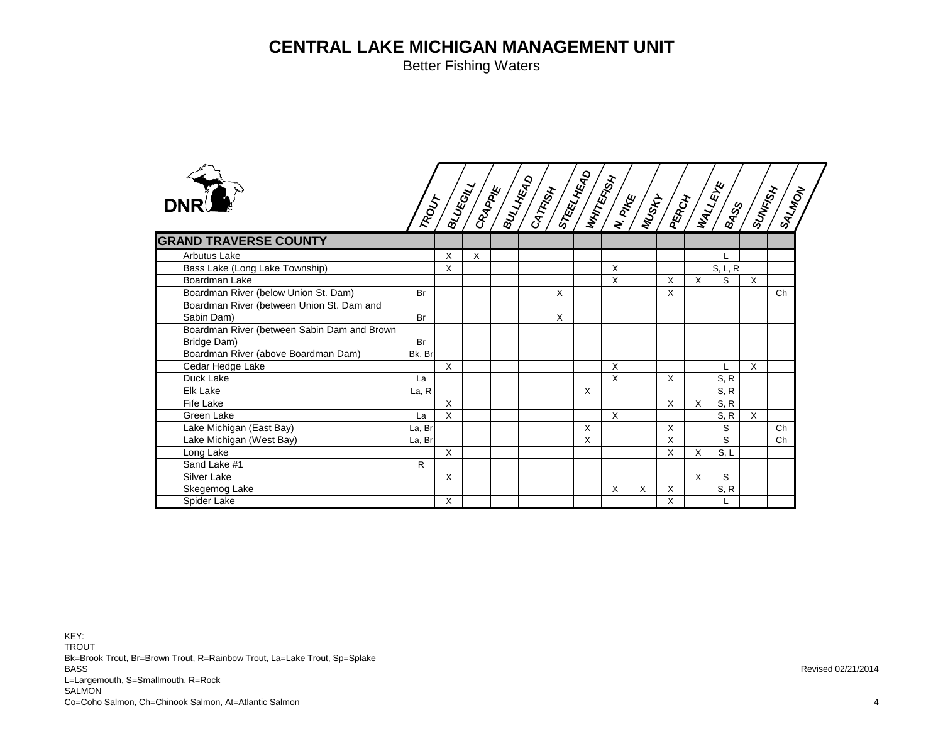Better Fishing Waters



| <b>DNR</b>                                                 |           |              |          |  |   |   |   |   |   |   |         |          | <b>PALMON</b> |
|------------------------------------------------------------|-----------|--------------|----------|--|---|---|---|---|---|---|---------|----------|---------------|
| <b>GRAND TRAVERSE COUNTY</b>                               |           |              |          |  |   |   |   |   |   |   |         |          |               |
| <b>Arbutus Lake</b>                                        |           | X            | $\times$ |  |   |   |   |   |   |   |         |          |               |
| Bass Lake (Long Lake Township)                             |           | X            |          |  |   |   | X |   |   |   | S, L, R |          |               |
| Boardman Lake                                              |           |              |          |  |   |   | X |   | X | X | S       | $\times$ |               |
| Boardman River (below Union St. Dam)                       | Br        |              |          |  | X |   |   |   | X |   |         |          | Ch            |
| Boardman River (between Union St. Dam and<br>Sabin Dam)    | <b>Br</b> |              |          |  | X |   |   |   |   |   |         |          |               |
| Boardman River (between Sabin Dam and Brown<br>Bridge Dam) | <b>Br</b> |              |          |  |   |   |   |   |   |   |         |          |               |
| Boardman River (above Boardman Dam)                        | Bk, Br    |              |          |  |   |   |   |   |   |   |         |          |               |
| Cedar Hedge Lake                                           |           | X            |          |  |   |   | X |   |   |   |         | X        |               |
| Duck Lake                                                  | La        |              |          |  |   |   | X |   | X |   | S, R    |          |               |
| Elk Lake                                                   | La, R     |              |          |  |   | X |   |   |   |   | S, R    |          |               |
| Fife Lake                                                  |           | X            |          |  |   |   |   |   | X | X | S, R    |          |               |
| Green Lake                                                 | La        | X            |          |  |   |   | X |   |   |   | S, R    | $\times$ |               |
| Lake Michigan (East Bay)                                   | La, Br    |              |          |  |   | X |   |   | X |   | S       |          | Ch            |
| Lake Michigan (West Bay)                                   | La, Br    |              |          |  |   | X |   |   | X |   | S       |          | Ch            |
| Long Lake                                                  |           | $\times$     |          |  |   |   |   |   | X | X | S, L    |          |               |
| Sand Lake #1                                               | R         |              |          |  |   |   |   |   |   |   |         |          |               |
| Silver Lake                                                |           | $\times$     |          |  |   |   |   |   |   | X | S       |          |               |
| Skegemog Lake                                              |           |              |          |  |   |   | X | X | X |   | S, R    |          |               |
| Spider Lake                                                |           | $\mathsf{X}$ |          |  |   |   |   |   | X |   |         |          |               |

**STEELHEAD**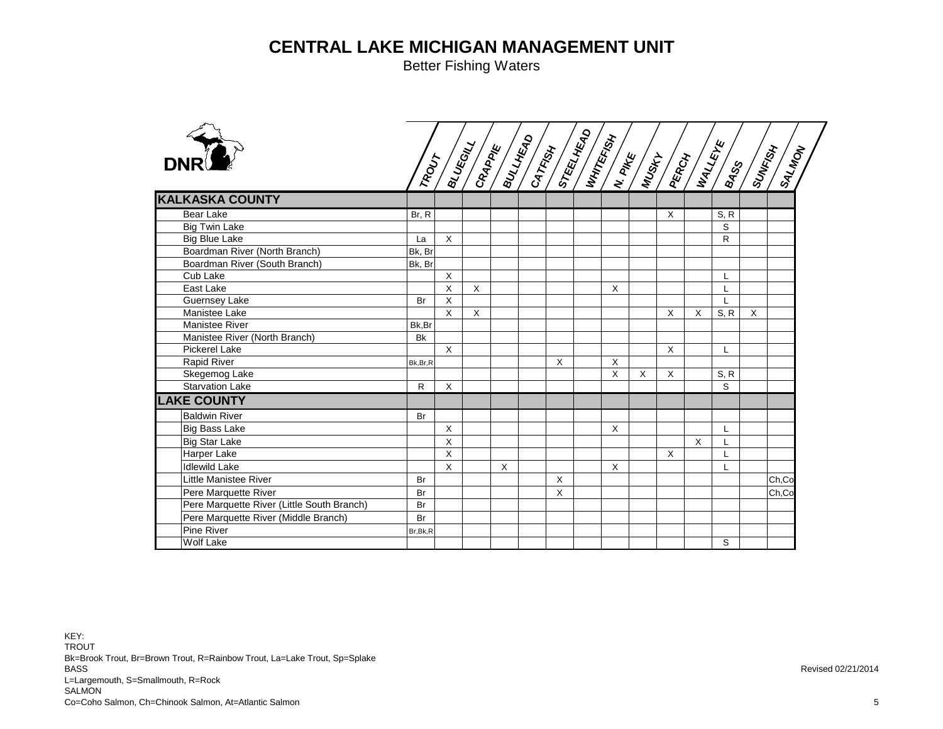| <b>KALKASKA COUNTY</b>                     |              |              |         |              |   |          |   |   |          |      |          |       |
|--------------------------------------------|--------------|--------------|---------|--------------|---|----------|---|---|----------|------|----------|-------|
| <b>Bear Lake</b>                           | Br, R        |              |         |              |   |          |   | X |          | S, R |          |       |
| <b>Big Twin Lake</b>                       |              |              |         |              |   |          |   |   |          | S    |          |       |
| <b>Big Blue Lake</b>                       | La           | $\times$     |         |              |   |          |   |   |          | R    |          |       |
| Boardman River (North Branch)              | Bk, Br       |              |         |              |   |          |   |   |          |      |          |       |
| Boardman River (South Branch)              | Bk, Br       |              |         |              |   |          |   |   |          |      |          |       |
| Cub Lake                                   |              | X            |         |              |   |          |   |   |          | L    |          |       |
| East Lake                                  |              | $\sf X$      | $\sf X$ |              |   | X        |   |   |          |      |          |       |
| Guernsey Lake                              | Br           | $\mathsf{X}$ |         |              |   |          |   |   |          | L    |          |       |
| Manistee Lake                              |              | X            | X       |              |   |          |   | X | X        | S, R | $\times$ |       |
| Manistee River                             | Bk,Br        |              |         |              |   |          |   |   |          |      |          |       |
| Manistee River (North Branch)              | <b>Bk</b>    |              |         |              |   |          |   |   |          |      |          |       |
| <b>Pickerel Lake</b>                       |              | $\times$     |         |              |   |          |   | X |          | L    |          |       |
| <b>Rapid River</b>                         | Bk, Br, R    |              |         |              | X | $\times$ |   |   |          |      |          |       |
| Skegemog Lake                              |              |              |         |              |   | X        | X | X |          | S, R |          |       |
| <b>Starvation Lake</b>                     | $\mathsf{R}$ | $\sf X$      |         |              |   |          |   |   |          | S    |          |       |
| <b>LAKE COUNTY</b>                         |              |              |         |              |   |          |   |   |          |      |          |       |
| <b>Baldwin River</b>                       | <b>Br</b>    |              |         |              |   |          |   |   |          |      |          |       |
| <b>Big Bass Lake</b>                       |              | X            |         |              |   | X        |   |   |          | L    |          |       |
| <b>Big Star Lake</b>                       |              | $\mathsf{X}$ |         |              |   |          |   |   | $\times$ |      |          |       |
| Harper Lake                                |              | $\sf X$      |         |              |   |          |   | X |          | L    |          |       |
| <b>Idlewild Lake</b>                       |              | $\sf X$      |         | $\mathsf{X}$ |   | X        |   |   |          | L    |          |       |
| <b>Little Manistee River</b>               | <b>Br</b>    |              |         |              | X |          |   |   |          |      |          | Ch,Co |
| Pere Marquette River                       | Br           |              |         |              | X |          |   |   |          |      |          | Ch,Co |
| Pere Marquette River (Little South Branch) | Br           |              |         |              |   |          |   |   |          |      |          |       |
| Pere Marquette River (Middle Branch)       | Br           |              |         |              |   |          |   |   |          |      |          |       |
| Pine River                                 | Br, Bk, R    |              |         |              |   |          |   |   |          |      |          |       |
| <b>Wolf Lake</b>                           |              |              |         |              |   |          |   |   |          | S    |          |       |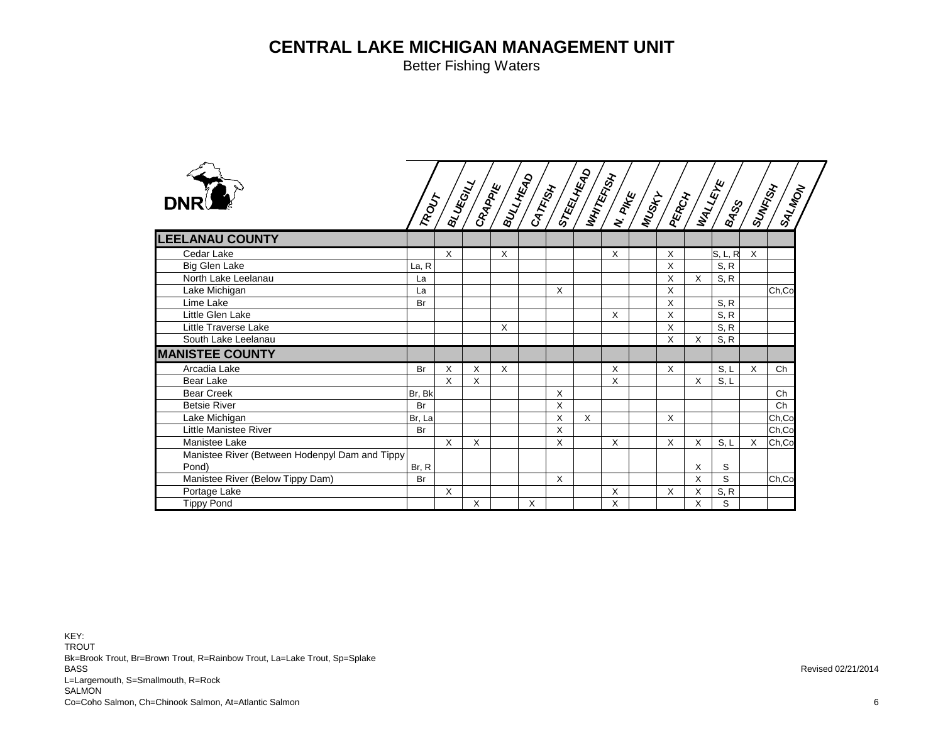Better Fishing Waters

| <b>DNR</b>                                     | TROUT     |              |          |          |   |   |   |   |          |              | $\begin{pmatrix} 1 \\ 2 \\ 3 \\ 4 \end{pmatrix} \begin{pmatrix} 1 \\ 1 \\ 2 \\ 3 \end{pmatrix} = \begin{pmatrix} 1 \\ 1 \\ 2 \\ 3 \end{pmatrix} \begin{pmatrix} 1 \\ 1 \\ 2 \\ 3 \end{pmatrix} \begin{pmatrix} 1 \\ 1 \\ 2 \\ 3 \end{pmatrix} = \begin{pmatrix} 1 \\ 1 \\ 2 \\ 3 \end{pmatrix} \begin{pmatrix} 1 \\ 1 \\ 2 \\ 3 \end{pmatrix}$ |   | <b>ISALADA</b> |
|------------------------------------------------|-----------|--------------|----------|----------|---|---|---|---|----------|--------------|------------------------------------------------------------------------------------------------------------------------------------------------------------------------------------------------------------------------------------------------------------------------------------------------------------------------------------------------|---|----------------|
| <b>LEELANAU COUNTY</b>                         |           |              |          |          |   |   |   |   |          |              |                                                                                                                                                                                                                                                                                                                                                |   |                |
| Cedar Lake                                     |           | $\times$     |          | X        |   |   |   | X | X        |              | S, L, R                                                                                                                                                                                                                                                                                                                                        | X |                |
| Big Glen Lake                                  | La, R     |              |          |          |   |   |   |   | X        |              | S, R                                                                                                                                                                                                                                                                                                                                           |   |                |
| North Lake Leelanau                            | La        |              |          |          |   |   |   |   | X        | $\times$     | S, R                                                                                                                                                                                                                                                                                                                                           |   |                |
| Lake Michigan                                  | La        |              |          |          |   | X |   |   | X        |              |                                                                                                                                                                                                                                                                                                                                                |   | Ch,Co          |
| Lime Lake                                      | <b>Br</b> |              |          |          |   |   |   |   | X        |              | S, R                                                                                                                                                                                                                                                                                                                                           |   |                |
| Little Glen Lake                               |           |              |          |          |   |   |   | X | X        |              | S, R                                                                                                                                                                                                                                                                                                                                           |   |                |
| Little Traverse Lake                           |           |              |          | X        |   |   |   |   | X        |              | S, R                                                                                                                                                                                                                                                                                                                                           |   |                |
| South Lake Leelanau                            |           |              |          |          |   |   |   |   | X        | X            | S, R                                                                                                                                                                                                                                                                                                                                           |   |                |
| <b>MANISTEE COUNTY</b>                         |           |              |          |          |   |   |   |   |          |              |                                                                                                                                                                                                                                                                                                                                                |   |                |
| Arcadia Lake                                   | <b>Br</b> | $\times$     | $\times$ | $\times$ |   |   |   | X | X        |              | S, L                                                                                                                                                                                                                                                                                                                                           | X | Ch             |
| Bear Lake                                      |           | $\mathsf{X}$ | X        |          |   |   |   | X |          | $\mathsf{X}$ | S, L                                                                                                                                                                                                                                                                                                                                           |   |                |
| <b>Bear Creek</b>                              | Br, Bk    |              |          |          |   | X |   |   |          |              |                                                                                                                                                                                                                                                                                                                                                |   | Ch             |
| <b>Betsie River</b>                            | Br        |              |          |          |   | X |   |   |          |              |                                                                                                                                                                                                                                                                                                                                                |   | Ch             |
| Lake Michigan                                  | Br, La    |              |          |          |   | X | X |   | X        |              |                                                                                                                                                                                                                                                                                                                                                |   | Ch,Co          |
| <b>Little Manistee River</b>                   | Br        |              |          |          |   | X |   |   |          |              |                                                                                                                                                                                                                                                                                                                                                |   | Ch,Co          |
| Manistee Lake                                  |           | $\mathsf{x}$ | X        |          |   | X |   | X | $\times$ | X            | S, L                                                                                                                                                                                                                                                                                                                                           | X | Ch,Co          |
| Manistee River (Between Hodenpyl Dam and Tippy |           |              |          |          |   |   |   |   |          |              |                                                                                                                                                                                                                                                                                                                                                |   |                |
| Pond)                                          | Br, R     |              |          |          |   |   |   |   |          | X            | S                                                                                                                                                                                                                                                                                                                                              |   |                |
| Manistee River (Below Tippy Dam)               | <b>Br</b> |              |          |          |   | X |   |   |          | X            | S                                                                                                                                                                                                                                                                                                                                              |   | Ch,Co          |
| Portage Lake                                   |           | X            |          |          |   |   |   | X | X        | Χ            | S, R                                                                                                                                                                                                                                                                                                                                           |   |                |
| <b>Tippy Pond</b>                              |           |              | $\times$ |          | X |   |   | X |          | X            | S                                                                                                                                                                                                                                                                                                                                              |   |                |

KEY: TROUTBk=Brook Trout, Br=Brown Trout, R=Rainbow Trout, La=Lake Trout, Sp=Splake BASS L=Largemouth, S=Smallmouth, R=Rock SALMON Co=Coho Salmon, Ch=Chinook Salmon, At=Atlantic Salmon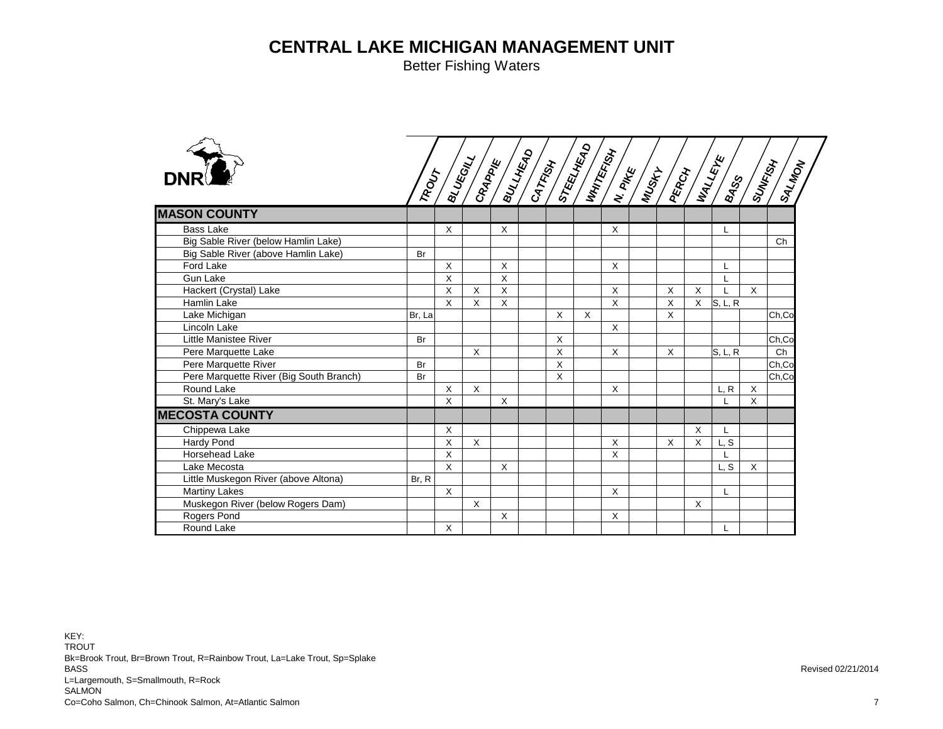Better Fishing Waters

|                                         |        |          |              |   |              |              |              |              |   |         |             | A S S A S S S S S S S S S S S S S S |
|-----------------------------------------|--------|----------|--------------|---|--------------|--------------|--------------|--------------|---|---------|-------------|-------------------------------------|
| <b>MASON COUNTY</b>                     |        |          |              |   |              |              |              |              |   |         |             |                                     |
| <b>Bass Lake</b>                        |        | $\times$ |              | X |              |              | X            |              |   | L       |             |                                     |
| Big Sable River (below Hamlin Lake)     |        |          |              |   |              |              |              |              |   |         |             | Ch                                  |
| Big Sable River (above Hamlin Lake)     | Br     |          |              |   |              |              |              |              |   |         |             |                                     |
| Ford Lake                               |        | $\sf X$  |              | X |              |              | $\mathsf{X}$ |              |   | L       |             |                                     |
| <b>Gun Lake</b>                         |        | X        |              | X |              |              |              |              |   | L       |             |                                     |
| Hackert (Crystal) Lake                  |        | X        | $\times$     | X |              |              | X            | X            | X |         | $\times$    |                                     |
| Hamlin Lake                             |        | $\sf X$  | $\times$     | X |              |              | $\mathsf{x}$ | $\times$     | X | S, L, R |             |                                     |
| Lake Michigan                           | Br, La |          |              |   | X            | $\mathsf{X}$ |              | X            |   |         |             | Ch,Co                               |
| Lincoln Lake                            |        |          |              |   |              |              | $\mathsf{X}$ |              |   |         |             |                                     |
| Little Manistee River                   | Br     |          |              |   | X            |              |              |              |   |         |             | Ch,Co                               |
| Pere Marquette Lake                     |        |          | X            |   | X            |              | $\mathsf{X}$ | X            |   | S, L, R |             | Ch                                  |
| Pere Marquette River                    | Br     |          |              |   | X            |              |              |              |   |         |             | Ch,Co                               |
| Pere Marquette River (Big South Branch) | Br     |          |              |   | $\mathsf{X}$ |              |              |              |   |         |             | Ch,Co                               |
| Round Lake                              |        | X        | $\sf X$      |   |              |              | $\mathsf{X}$ |              |   | L, R    | $\mathsf X$ |                                     |
| St. Mary's Lake                         |        | X        |              | X |              |              |              |              |   |         | X           |                                     |
| <b>MECOSTA COUNTY</b>                   |        |          |              |   |              |              |              |              |   |         |             |                                     |
| Chippewa Lake                           |        | X        |              |   |              |              |              |              | X | L       |             |                                     |
| <b>Hardy Pond</b>                       |        | X        | $\mathsf{x}$ |   |              |              | $\mathsf{X}$ | $\mathsf{x}$ | X | L, S    |             |                                     |
| <b>Horsehead Lake</b>                   |        | $\times$ |              |   |              |              | X            |              |   |         |             |                                     |
| Lake Mecosta                            |        | X        |              | X |              |              |              |              |   | L, S    | X           |                                     |
| Little Muskegon River (above Altona)    | Br. R  |          |              |   |              |              |              |              |   |         |             |                                     |
| <b>Martiny Lakes</b>                    |        | $\sf X$  |              |   |              |              | X            |              |   | L       |             |                                     |
| Muskegon River (below Rogers Dam)       |        |          | $\times$     |   |              |              |              |              | X |         |             |                                     |
| Rogers Pond                             |        |          |              | X |              |              | X            |              |   |         |             |                                     |
| Round Lake                              |        | X        |              |   |              |              |              |              |   | L       |             |                                     |

KEY: TROUTBk=Brook Trout, Br=Brown Trout, R=Rainbow Trout, La=Lake Trout, Sp=Splake BASS L=Largemouth, S=Smallmouth, R=Rock SALMON Co=Coho Salmon, Ch=Chinook Salmon, At=Atlantic Salmon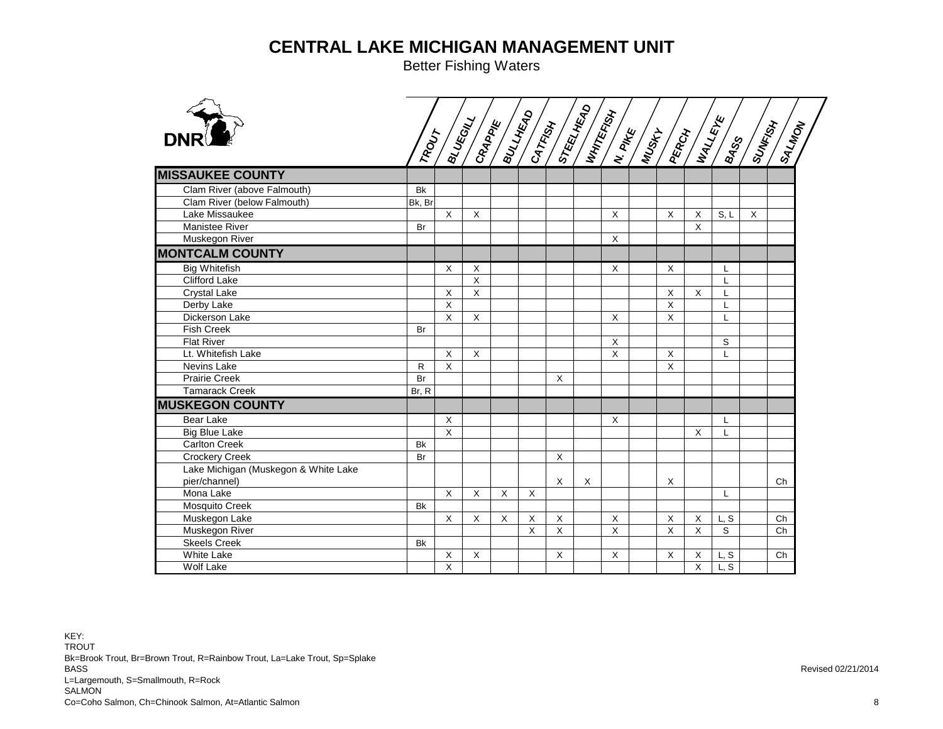| <b>DNR</b>                           | ROUT      |              |                         |   |   |         |   |          |              |             |              |          | ISALMON |  |
|--------------------------------------|-----------|--------------|-------------------------|---|---|---------|---|----------|--------------|-------------|--------------|----------|---------|--|
| <b>MISSAUKEE COUNTY</b>              |           |              |                         |   |   |         |   |          |              |             |              |          |         |  |
| Clam River (above Falmouth)          | <b>Bk</b> |              |                         |   |   |         |   |          |              |             |              |          |         |  |
| Clam River (below Falmouth)          | Bk, Br    |              |                         |   |   |         |   |          |              |             |              |          |         |  |
| Lake Missaukee                       |           | $\mathsf{X}$ | X                       |   |   |         |   | X        | X            | X           | S, L         | $\times$ |         |  |
| <b>Manistee River</b>                | Br        |              |                         |   |   |         |   |          |              | $\times$    |              |          |         |  |
| Muskegon River                       |           |              |                         |   |   |         |   | X        |              |             |              |          |         |  |
| <b>MONTCALM COUNTY</b>               |           |              |                         |   |   |         |   |          |              |             |              |          |         |  |
| <b>Big Whitefish</b>                 |           | X            | $\overline{\mathsf{x}}$ |   |   |         |   | $\times$ | $\times$     |             | -L           |          |         |  |
| Clifford Lake                        |           |              | $\times$                |   |   |         |   |          |              |             | $\mathsf{L}$ |          |         |  |
| <b>Crystal Lake</b>                  |           | X            | $\mathsf X$             |   |   |         |   |          | X            | $\times$    | L            |          |         |  |
| Derby Lake                           |           | $\mathsf{X}$ |                         |   |   |         |   |          | $\mathsf{X}$ |             | L            |          |         |  |
| Dickerson Lake                       |           | X            | $\mathsf X$             |   |   |         |   | X        | X            |             | L            |          |         |  |
| <b>Fish Creek</b>                    | Br        |              |                         |   |   |         |   |          |              |             |              |          |         |  |
| <b>Flat River</b>                    |           |              |                         |   |   |         |   | X        |              |             | S            |          |         |  |
| Lt. Whitefish Lake                   |           | X            | X                       |   |   |         |   | X        | X            |             | L            |          |         |  |
| Nevins Lake                          | R         | $\mathsf{X}$ |                         |   |   |         |   |          | X            |             |              |          |         |  |
| <b>Prairie Creek</b>                 | Br        |              |                         |   |   | X       |   |          |              |             |              |          |         |  |
| <b>Tamarack Creek</b>                | Br. R     |              |                         |   |   |         |   |          |              |             |              |          |         |  |
| <b>MUSKEGON COUNTY</b>               |           |              |                         |   |   |         |   |          |              |             |              |          |         |  |
| <b>Bear Lake</b>                     |           | X            |                         |   |   |         |   | X        |              |             | L            |          |         |  |
| <b>Big Blue Lake</b>                 |           | $\mathsf{X}$ |                         |   |   |         |   |          |              | $\times$    | L            |          |         |  |
| <b>Carlton Creek</b>                 | <b>Bk</b> |              |                         |   |   |         |   |          |              |             |              |          |         |  |
| <b>Crockery Creek</b>                | Br        |              |                         |   |   | X       |   |          |              |             |              |          |         |  |
| Lake Michigan (Muskegon & White Lake |           |              |                         |   |   |         |   |          |              |             |              |          |         |  |
| pier/channel)                        |           |              |                         |   |   | X       | X |          | X            |             |              |          | Ch      |  |
| Mona Lake                            |           | X            | X                       | X | X |         |   |          |              |             | L            |          |         |  |
| Mosquito Creek                       | <b>Bk</b> |              |                         |   |   |         |   |          |              |             |              |          |         |  |
| Muskegon Lake                        |           | $\times$     | X                       | X | X | X       |   | X        | X            | X           | L, S         |          | Ch      |  |
| Muskegon River                       |           |              |                         |   | X | $\sf X$ |   | X        | X            | $\mathsf X$ | S            |          | Ch      |  |
| <b>Skeels Creek</b>                  | <b>Bk</b> |              |                         |   |   |         |   |          |              |             |              |          |         |  |
| White Lake                           |           | X            | X                       |   |   | X       |   | X        | X            | X           | L, S         |          | Ch      |  |
| Wolf Lake                            |           | X            |                         |   |   |         |   |          |              | $\times$    | L.S          |          |         |  |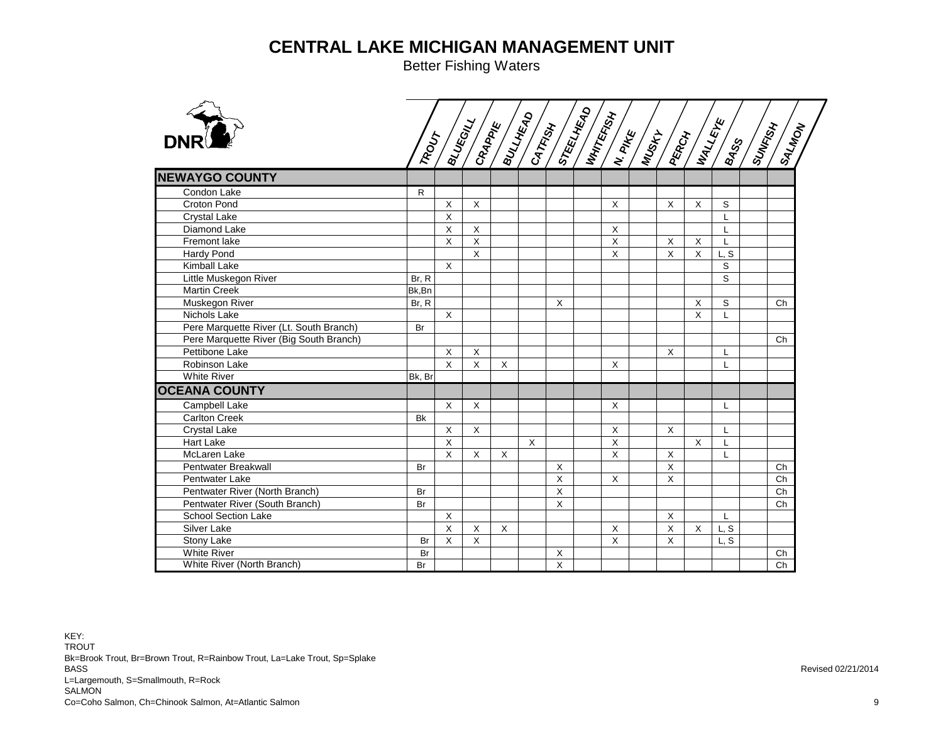|                                         | TROUT  |              | $\begin{pmatrix} 1 & 0 & 0 & 0 \\ 0 & 0 & 0 & 0 \\ 0 & 0 & 0 & 0 \\ 0 & 0 & 0 & 0 \end{pmatrix} \begin{pmatrix} 1 & 0 & 0 & 0 \\ 0 & 0 & 0 & 0 \\ 0 & 0 & 0 & 0 \\ 0 & 0 & 0 & 0 \end{pmatrix} \begin{pmatrix} 1 & 0 & 0 & 0 \\ 0 & 0 & 0 & 0 \\ 0 & 0 & 0 & 0 \\ 0 & 0 & 0 & 0 \end{pmatrix}$ |          |          |              |                | <b>SARA SERVICE</b> |              | <b>RESTAUR</b> | $\frac{1}{2}$ | <b>ASURER</b> | ISALMON |
|-----------------------------------------|--------|--------------|------------------------------------------------------------------------------------------------------------------------------------------------------------------------------------------------------------------------------------------------------------------------------------------------|----------|----------|--------------|----------------|---------------------|--------------|----------------|---------------|---------------|---------|
| <b>NEWAYGO COUNTY</b>                   |        |              |                                                                                                                                                                                                                                                                                                |          |          |              |                |                     |              |                |               |               |         |
| Condon Lake                             | R      |              |                                                                                                                                                                                                                                                                                                |          |          |              |                |                     |              |                |               |               |         |
| Croton Pond                             |        | X            | X                                                                                                                                                                                                                                                                                              |          |          |              | $\sf X$        |                     | $\mathsf{X}$ | X              | S             |               |         |
| <b>Crystal Lake</b>                     |        | X            |                                                                                                                                                                                                                                                                                                |          |          |              |                |                     |              |                | $\mathbf{I}$  |               |         |
| Diamond Lake                            |        | X            | X                                                                                                                                                                                                                                                                                              |          |          |              | X              |                     |              |                | L             |               |         |
| Fremont lake                            |        | X            | $\overline{X}$                                                                                                                                                                                                                                                                                 |          |          |              | $\overline{X}$ |                     | X            | X              | L             |               |         |
| Hardy Pond                              |        |              | $\mathsf{X}$                                                                                                                                                                                                                                                                                   |          |          |              | $\times$       |                     | X            | X              | L, S          |               |         |
| Kimball Lake                            |        | $\mathsf{X}$ |                                                                                                                                                                                                                                                                                                |          |          |              |                |                     |              |                | $\mathsf S$   |               |         |
| Little Muskegon River                   | Br, R  |              |                                                                                                                                                                                                                                                                                                |          |          |              |                |                     |              |                | S             |               |         |
| <b>Martin Creek</b>                     | Bk,Bn  |              |                                                                                                                                                                                                                                                                                                |          |          |              |                |                     |              |                |               |               |         |
| Muskegon River                          | Br, R  |              |                                                                                                                                                                                                                                                                                                |          |          | $\mathsf{X}$ |                |                     |              | X              | S             |               | Ch      |
| Nichols Lake                            |        | $\sf X$      |                                                                                                                                                                                                                                                                                                |          |          |              |                |                     |              | X              | $\mathbf{I}$  |               |         |
| Pere Marquette River (Lt. South Branch) | Br     |              |                                                                                                                                                                                                                                                                                                |          |          |              |                |                     |              |                |               |               |         |
| Pere Marquette River (Big South Branch) |        |              |                                                                                                                                                                                                                                                                                                |          |          |              |                |                     |              |                |               |               | Ch      |
| Pettibone Lake                          |        | X            | $\times$                                                                                                                                                                                                                                                                                       |          |          |              |                |                     | $\times$     |                | L             |               |         |
| Robinson Lake                           |        | $\mathsf{X}$ | X                                                                                                                                                                                                                                                                                              | X        |          |              | X              |                     |              |                | L             |               |         |
| <b>White River</b>                      | Bk, Br |              |                                                                                                                                                                                                                                                                                                |          |          |              |                |                     |              |                |               |               |         |
| <b>OCEANA COUNTY</b>                    |        |              |                                                                                                                                                                                                                                                                                                |          |          |              |                |                     |              |                |               |               |         |
| <b>Campbell Lake</b>                    |        | $\sf X$      | X                                                                                                                                                                                                                                                                                              |          |          |              | $\sf X$        |                     |              |                | L             |               |         |
| <b>Carlton Creek</b>                    | Bk     |              |                                                                                                                                                                                                                                                                                                |          |          |              |                |                     |              |                |               |               |         |
| <b>Crystal Lake</b>                     |        | X            | $\sf X$                                                                                                                                                                                                                                                                                        |          |          |              | $\sf X$        |                     | X            |                | $\mathsf{L}$  |               |         |
| Hart Lake                               |        | X            |                                                                                                                                                                                                                                                                                                |          | $\times$ |              | $\mathsf X$    |                     |              | X              | $\mathsf{L}$  |               |         |
| <b>McLaren Lake</b>                     |        | X            | $\mathsf{X}$                                                                                                                                                                                                                                                                                   | $\times$ |          |              | $\sf X$        |                     | $\times$     |                | L             |               |         |
| Pentwater Breakwall                     | Br     |              |                                                                                                                                                                                                                                                                                                |          |          | X            |                |                     | X            |                |               |               | Ch      |
| Pentwater Lake                          |        |              |                                                                                                                                                                                                                                                                                                |          |          | X            | X              |                     | X            |                |               |               | Ch      |
| Pentwater River (North Branch)          | Br     |              |                                                                                                                                                                                                                                                                                                |          |          | $\mathsf{X}$ |                |                     |              |                |               |               | Ch      |
| Pentwater River (South Branch)          | Br     |              |                                                                                                                                                                                                                                                                                                |          |          | $\mathsf{X}$ |                |                     |              |                |               |               | Ch      |
| <b>School Section Lake</b>              |        | X            |                                                                                                                                                                                                                                                                                                |          |          |              |                |                     | X            |                | L             |               |         |
| Silver Lake                             |        | X            | X                                                                                                                                                                                                                                                                                              | $\times$ |          |              | X              |                     | X            | X              | L, S          |               |         |
| Stony Lake                              | Br     | X            | X                                                                                                                                                                                                                                                                                              |          |          |              | $\times$       |                     | X            |                | L, S          |               |         |
| <b>White River</b>                      | Br     |              |                                                                                                                                                                                                                                                                                                |          |          | X            |                |                     |              |                |               |               | Ch      |
| White River (North Branch)              | Br     |              |                                                                                                                                                                                                                                                                                                |          |          | $\mathsf{x}$ |                |                     |              |                |               |               | Ch      |